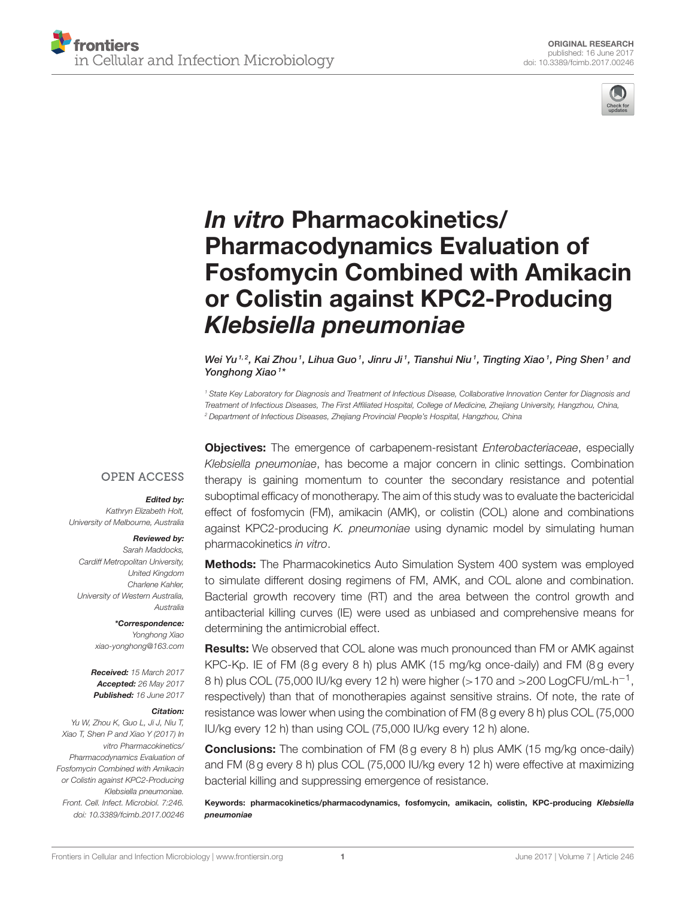

# In vitro Pharmacokinetics/ Pharmacodynamics Evaluation of [Fosfomycin Combined with Amikacin](http://journal.frontiersin.org/article/10.3389/fcimb.2017.00246/abstract) or Colistin against KPC2-Producing Klebsiella pneumoniae

[Wei Yu](http://loop.frontiersin.org/people/421981/overview) 1,2, [Kai Zhou](http://loop.frontiersin.org/people/258484/overview) 1, Lihua Guo 1, Jinru Ji 1, Tianshui Niu 1, Tingting Xiao 1, Ping Shen 1 and [Yonghong Xiao](http://loop.frontiersin.org/people/412572/overview)<sup>1\*</sup>

*<sup>1</sup> State Key Laboratory for Diagnosis and Treatment of Infectious Disease, Collaborative Innovation Center for Diagnosis and Treatment of Infectious Diseases, The First Affiliated Hospital, College of Medicine, Zhejiang University, Hangzhou, China, <sup>2</sup> Department of Infectious Diseases, Zhejiang Provincial People's Hospital, Hangzhou, China*

#### **OPEN ACCESS**

#### Edited by:

*Kathryn Elizabeth Holt, University of Melbourne, Australia*

#### Reviewed by:

*Sarah Maddocks, Cardiff Metropolitan University, United Kingdom Charlene Kahler, University of Western Australia, Australia*

> \*Correspondence: *Yonghong Xiao [xiao-yonghong@163.com](mailto:xiao-yonghong@163.com)*

Received: *15 March 2017* Accepted: *26 May 2017* Published: *16 June 2017*

#### Citation:

*Yu W, Zhou K, Guo L, Ji J, Niu T, Xiao T, Shen P and Xiao Y (2017) In vitro Pharmacokinetics/ Pharmacodynamics Evaluation of Fosfomycin Combined with Amikacin or Colistin against KPC2-Producing Klebsiella pneumoniae. Front. Cell. Infect. Microbiol. 7:246. doi: [10.3389/fcimb.2017.00246](https://doi.org/10.3389/fcimb.2017.00246)*

Objectives: The emergence of carbapenem-resistant *Enterobacteriaceae*, especially *Klebsiella pneumoniae*, has become a major concern in clinic settings. Combination therapy is gaining momentum to counter the secondary resistance and potential suboptimal efficacy of monotherapy. The aim of this study was to evaluate the bactericidal effect of fosfomycin (FM), amikacin (AMK), or colistin (COL) alone and combinations against KPC2-producing *K. pneumoniae* using dynamic model by simulating human pharmacokinetics *in vitro*.

**Methods:** The Pharmacokinetics Auto Simulation System 400 system was employed to simulate different dosing regimens of FM, AMK, and COL alone and combination. Bacterial growth recovery time (RT) and the area between the control growth and antibacterial killing curves (IE) were used as unbiased and comprehensive means for determining the antimicrobial effect.

**Results:** We observed that COL alone was much pronounced than FM or AMK against KPC-Kp. IE of FM (8g every 8 h) plus AMK (15 mg/kg once-daily) and FM (8g every 8 h) plus COL (75,000 IU/kg every 12 h) were higher (>170 and >200 LogCFU/mL $\cdot$ h<sup>-1</sup>, respectively) than that of monotherapies against sensitive strains. Of note, the rate of resistance was lower when using the combination of FM (8 g every 8 h) plus COL (75,000 IU/kg every 12 h) than using COL (75,000 IU/kg every 12 h) alone.

**Conclusions:** The combination of FM (8 g every 8 h) plus AMK (15 mg/kg once-daily) and FM (8 g every 8 h) plus COL (75,000 IU/kg every 12 h) were effective at maximizing bacterial killing and suppressing emergence of resistance.

Keywords: pharmacokinetics/pharmacodynamics, fosfomycin, amikacin, colistin, KPC-producing Klebsiella pneumoniae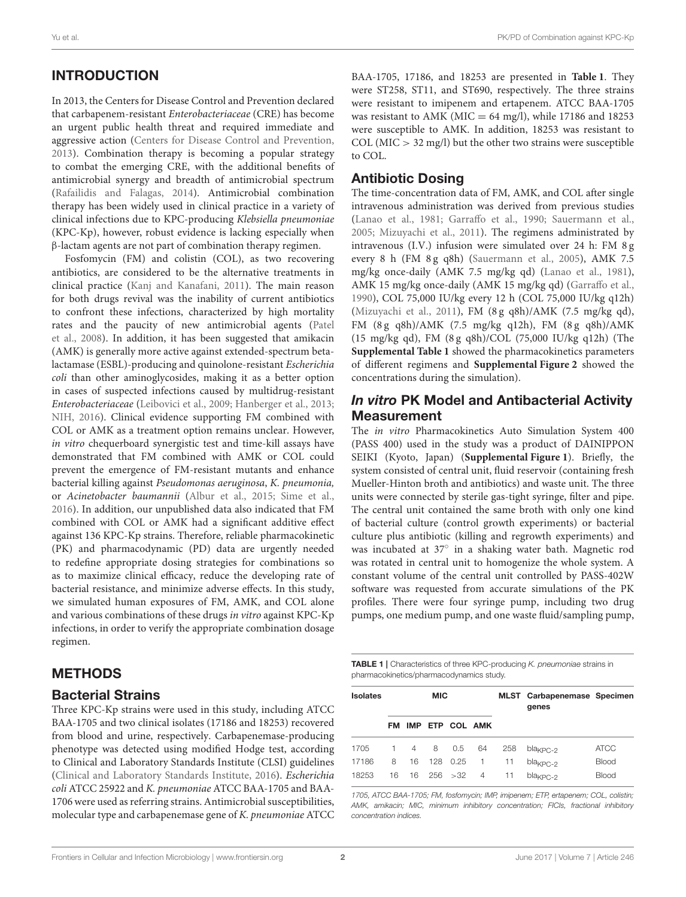# INTRODUCTION

In 2013, the Centers for Disease Control and Prevention declared that carbapenem-resistant Enterobacteriaceae (CRE) has become an urgent public health threat and required immediate and aggressive action [\(Centers for Disease Control and Prevention,](#page-6-0) [2013\)](#page-6-0). Combination therapy is becoming a popular strategy to combat the emerging CRE, with the additional benefits of antimicrobial synergy and breadth of antimicrobial spectrum [\(Rafailidis and Falagas, 2014\)](#page-7-0). Antimicrobial combination therapy has been widely used in clinical practice in a variety of clinical infections due to KPC-producing Klebsiella pneumoniae (KPC-Kp), however, robust evidence is lacking especially when β-lactam agents are not part of combination therapy regimen.

Fosfomycin (FM) and colistin (COL), as two recovering antibiotics, are considered to be the alternative treatments in clinical practice [\(Kanj and Kanafani, 2011\)](#page-6-1). The main reason for both drugs revival was the inability of current antibiotics to confront these infections, characterized by high mortality rates and the paucity of new antimicrobial agents (Patel et al., [2008\)](#page-7-1). In addition, it has been suggested that amikacin (AMK) is generally more active against extended-spectrum betalactamase (ESBL)-producing and quinolone-resistant Escherichia coli than other aminoglycosides, making it as a better option in cases of suspected infections caused by multidrug-resistant Enterobacteriaceae [\(Leibovici et al., 2009;](#page-6-2) [Hanberger et al., 2013;](#page-6-3) [NIH, 2016\)](#page-7-2). Clinical evidence supporting FM combined with COL or AMK as a treatment option remains unclear. However, in vitro chequerboard synergistic test and time-kill assays have demonstrated that FM combined with AMK or COL could prevent the emergence of FM-resistant mutants and enhance bacterial killing against Pseudomonas aeruginosa, K. pneumonia, or Acinetobacter baumannii [\(Albur et al., 2015;](#page-6-4) [Sime et al.,](#page-7-3) [2016\)](#page-7-3). In addition, our unpublished data also indicated that FM combined with COL or AMK had a significant additive effect against 136 KPC-Kp strains. Therefore, reliable pharmacokinetic (PK) and pharmacodynamic (PD) data are urgently needed to redefine appropriate dosing strategies for combinations so as to maximize clinical efficacy, reduce the developing rate of bacterial resistance, and minimize adverse effects. In this study, we simulated human exposures of FM, AMK, and COL alone and various combinations of these drugs in vitro against KPC-Kp infections, in order to verify the appropriate combination dosage regimen.

## METHODS

#### Bacterial Strains

Three KPC-Kp strains were used in this study, including ATCC BAA-1705 and two clinical isolates (17186 and 18253) recovered from blood and urine, respectively. Carbapenemase-producing phenotype was detected using modified Hodge test, according to Clinical and Laboratory Standards Institute (CLSI) guidelines [\(Clinical and Laboratory Standards Institute, 2016\)](#page-6-5). Escherichia coli ATCC 25922 and K. pneumoniae ATCC BAA-1705 and BAA-1706 were used as referring strains. Antimicrobial susceptibilities, molecular type and carbapenemase gene of K. pneumoniae ATCC BAA-1705, 17186, and 18253 are presented in **[Table 1](#page-1-0)**. They were ST258, ST11, and ST690, respectively. The three strains were resistant to imipenem and ertapenem. ATCC BAA-1705 was resistant to AMK (MIC = 64 mg/l), while 17186 and 18253 were susceptible to AMK. In addition, 18253 was resistant to COL ( $MIC > 32$  mg/l) but the other two strains were susceptible to COL.

# Antibiotic Dosing

The time-concentration data of FM, AMK, and COL after single intravenous administration was derived from previous studies [\(Lanao et al., 1981;](#page-6-6) [Garraffo et al., 1990;](#page-6-7) [Sauermann et al.,](#page-7-4) [2005;](#page-7-4) [Mizuyachi et al., 2011\)](#page-7-5). The regimens administrated by intravenous (I.V.) infusion were simulated over 24 h: FM 8 g every 8 h (FM 8g q8h) [\(Sauermann et al., 2005\)](#page-7-4), AMK 7.5 mg/kg once-daily (AMK 7.5 mg/kg qd) [\(Lanao et al., 1981\)](#page-6-6), AMK 15 mg/kg once-daily (AMK 15 mg/kg qd) [\(Garraffo et al.,](#page-6-7) [1990\)](#page-6-7), COL 75,000 IU/kg every 12 h (COL 75,000 IU/kg q12h) [\(Mizuyachi et al., 2011\)](#page-7-5), FM (8 g q8h)/AMK (7.5 mg/kg qd), FM (8g q8h)/AMK (7.5 mg/kg q12h), FM (8g q8h)/AMK (15 mg/kg qd), FM (8 g q8h)/COL (75,000 IU/kg q12h) (The **[Supplemental Table 1](#page-6-8)** showed the pharmacokinetics parameters of different regimens and **[Supplemental Figure 2](#page-6-9)** showed the concentrations during the simulation).

# In vitro PK Model and Antibacterial Activity **Measurement**

The in vitro Pharmacokinetics Auto Simulation System 400 (PASS 400) used in the study was a product of DAINIPPON SEIKI (Kyoto, Japan) (**[Supplemental Figure 1](#page-6-10)**). Briefly, the system consisted of central unit, fluid reservoir (containing fresh Mueller-Hinton broth and antibiotics) and waste unit. The three units were connected by sterile gas-tight syringe, filter and pipe. The central unit contained the same broth with only one kind of bacterial culture (control growth experiments) or bacterial culture plus antibiotic (killing and regrowth experiments) and was incubated at 37° in a shaking water bath. Magnetic rod was rotated in central unit to homogenize the whole system. A constant volume of the central unit controlled by PASS-402W software was requested from accurate simulations of the PK profiles. There were four syringe pump, including two drug pumps, one medium pump, and one waste fluid/sampling pump,

<span id="page-1-0"></span>TABLE 1 | Characteristics of three KPC-producing *K. pneumoniae* strains in pharmacokinetics/pharmacodynamics study.

| <b>Isolates</b> |                |                | <b>MIC</b> |                 |                |     | <b>MLST</b> Carbapenemase Specimen<br>genes |              |
|-----------------|----------------|----------------|------------|-----------------|----------------|-----|---------------------------------------------|--------------|
|                 | FM             |                |            | IMP ETP COL AMK |                |     |                                             |              |
| 1705            | $\overline{1}$ | $\overline{4}$ | 8          | 0.5             | 64             | 258 | $bla_{KPC-2}$                               | <b>ATCC</b>  |
| 17186           | 8              | 16             |            | 128 0.25        | $\overline{1}$ | 11  | $blaKPC-2$                                  | <b>Blood</b> |
| 18253           | 16             | 16             |            | 256 > 32        | 4              | 11  | bla <sub><math>KPC-2</math></sub>           | <b>Blood</b> |

*1705, ATCC BAA-1705; FM, fosfomycin; IMP, imipenem; ETP, ertapenem; COL, colistin; AMK, amikacin; MIC, minimum inhibitory concentration; FICIs, fractional inhibitory concentration indices.*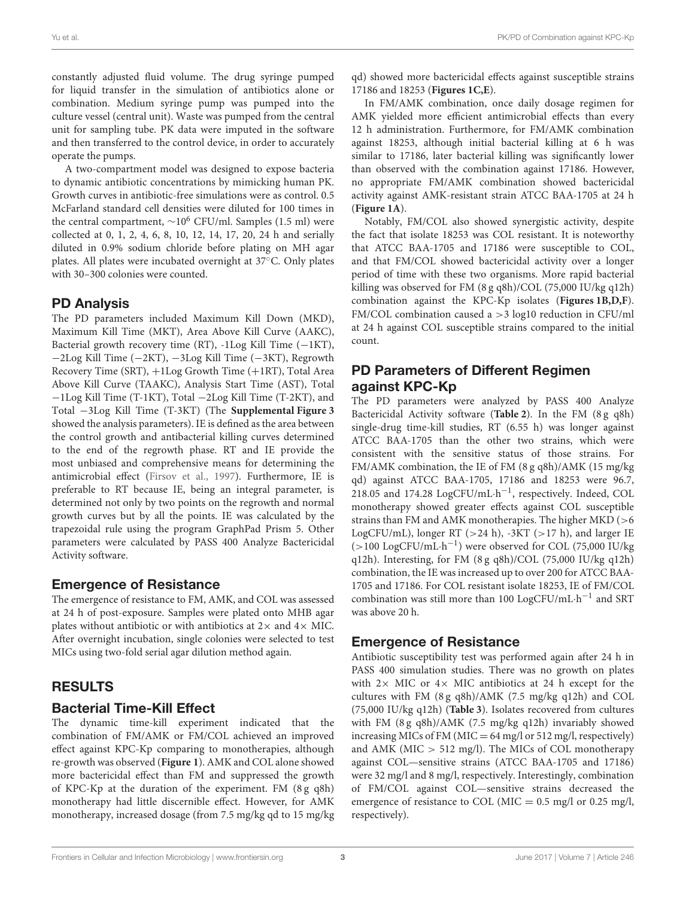constantly adjusted fluid volume. The drug syringe pumped for liquid transfer in the simulation of antibiotics alone or combination. Medium syringe pump was pumped into the culture vessel (central unit). Waste was pumped from the central unit for sampling tube. PK data were imputed in the software and then transferred to the control device, in order to accurately operate the pumps.

A two-compartment model was designed to expose bacteria to dynamic antibiotic concentrations by mimicking human PK. Growth curves in antibiotic-free simulations were as control. 0.5 McFarland standard cell densities were diluted for 100 times in the central compartment,  $\sim$ 10<sup>6</sup> CFU/ml. Samples (1.5 ml) were collected at 0, 1, 2, 4, 6, 8, 10, 12, 14, 17, 20, 24 h and serially diluted in 0.9% sodium chloride before plating on MH agar plates. All plates were incubated overnight at 37◦C. Only plates with 30–300 colonies were counted.

#### PD Analysis

The PD parameters included Maximum Kill Down (MKD), Maximum Kill Time (MKT), Area Above Kill Curve (AAKC), Bacterial growth recovery time (RT), -1Log Kill Time (−1KT), −2Log Kill Time (−2KT), −3Log Kill Time (−3KT), Regrowth Recovery Time (SRT), +1Log Growth Time (+1RT), Total Area Above Kill Curve (TAAKC), Analysis Start Time (AST), Total −1Log Kill Time (T-1KT), Total −2Log Kill Time (T-2KT), and Total −3Log Kill Time (T-3KT) (The **[Supplemental Figure 3](#page-6-11)** showed the analysis parameters). IE is defined as the area between the control growth and antibacterial killing curves determined to the end of the regrowth phase. RT and IE provide the most unbiased and comprehensive means for determining the antimicrobial effect [\(Firsov et al., 1997\)](#page-6-12). Furthermore, IE is preferable to RT because IE, being an integral parameter, is determined not only by two points on the regrowth and normal growth curves but by all the points. IE was calculated by the trapezoidal rule using the program GraphPad Prism 5. Other parameters were calculated by PASS 400 Analyze Bactericidal Activity software.

## Emergence of Resistance

The emergence of resistance to FM, AMK, and COL was assessed at 24 h of post-exposure. Samples were plated onto MHB agar plates without antibiotic or with antibiotics at  $2\times$  and  $4\times$  MIC. After overnight incubation, single colonies were selected to test MICs using two-fold serial agar dilution method again.

# RESULTS

#### Bacterial Time-Kill Effect

The dynamic time-kill experiment indicated that the combination of FM/AMK or FM/COL achieved an improved effect against KPC-Kp comparing to monotherapies, although re-growth was observed (**[Figure 1](#page-3-0)**). AMK and COL alone showed more bactericidal effect than FM and suppressed the growth of KPC-Kp at the duration of the experiment. FM (8 g q8h) monotherapy had little discernible effect. However, for AMK monotherapy, increased dosage (from 7.5 mg/kg qd to 15 mg/kg qd) showed more bactericidal effects against susceptible strains 17186 and 18253 (**[Figures 1C,E](#page-3-0)**).

In FM/AMK combination, once daily dosage regimen for AMK yielded more efficient antimicrobial effects than every 12 h administration. Furthermore, for FM/AMK combination against 18253, although initial bacterial killing at 6 h was similar to 17186, later bacterial killing was significantly lower than observed with the combination against 17186. However, no appropriate FM/AMK combination showed bactericidal activity against AMK-resistant strain ATCC BAA-1705 at 24 h (**[Figure 1A](#page-3-0)**).

Notably, FM/COL also showed synergistic activity, despite the fact that isolate 18253 was COL resistant. It is noteworthy that ATCC BAA-1705 and 17186 were susceptible to COL, and that FM/COL showed bactericidal activity over a longer period of time with these two organisms. More rapid bacterial killing was observed for FM (8 g q8h)/COL (75,000 IU/kg q12h) combination against the KPC-Kp isolates (**[Figures 1B,D,F](#page-3-0)**). FM/COL combination caused a >3 log10 reduction in CFU/ml at 24 h against COL susceptible strains compared to the initial count.

#### PD Parameters of Different Regimen against KPC-Kp

The PD parameters were analyzed by PASS 400 Analyze Bactericidal Activity software (**[Table 2](#page-4-0)**). In the FM (8 g q8h) single-drug time-kill studies, RT (6.55 h) was longer against ATCC BAA-1705 than the other two strains, which were consistent with the sensitive status of those strains. For FM/AMK combination, the IE of FM (8 g q8h)/AMK (15 mg/kg qd) against ATCC BAA-1705, 17186 and 18253 were 96.7, 218.05 and 174.28 LogCFU/mL·h<sup>-1</sup>, respectively. Indeed, COL monotherapy showed greater effects against COL susceptible strains than FM and AMK monotherapies. The higher MKD (>6 LogCFU/mL), longer RT ( $>24$  h), -3KT ( $>17$  h), and larger IE (>100 LogCFU/mL·h −1 ) were observed for COL (75,000 IU/kg q12h). Interesting, for FM (8 g q8h)/COL (75,000 IU/kg q12h) combination, the IE was increased up to over 200 for ATCC BAA-1705 and 17186. For COL resistant isolate 18253, IE of FM/COL combination was still more than 100 LogCFU/mL⋅h<sup>-1</sup> and SRT was above 20 h.

#### Emergence of Resistance

Antibiotic susceptibility test was performed again after 24 h in PASS 400 simulation studies. There was no growth on plates with  $2 \times$  MIC or  $4 \times$  MIC antibiotics at 24 h except for the cultures with FM (8 g q8h)/AMK (7.5 mg/kg q12h) and COL (75,000 IU/kg q12h) (**[Table 3](#page-5-0)**). Isolates recovered from cultures with FM (8g q8h)/AMK (7.5 mg/kg q12h) invariably showed increasing MICs of FM (MIC =  $64 \text{ mg/l}$  or  $512 \text{ mg/l}$ , respectively) and AMK (MIC > 512 mg/l). The MICs of COL monotherapy against COL—sensitive strains (ATCC BAA-1705 and 17186) were 32 mg/l and 8 mg/l, respectively. Interestingly, combination of FM/COL against COL—sensitive strains decreased the emergence of resistance to COL (MIC =  $0.5$  mg/l or  $0.25$  mg/l, respectively).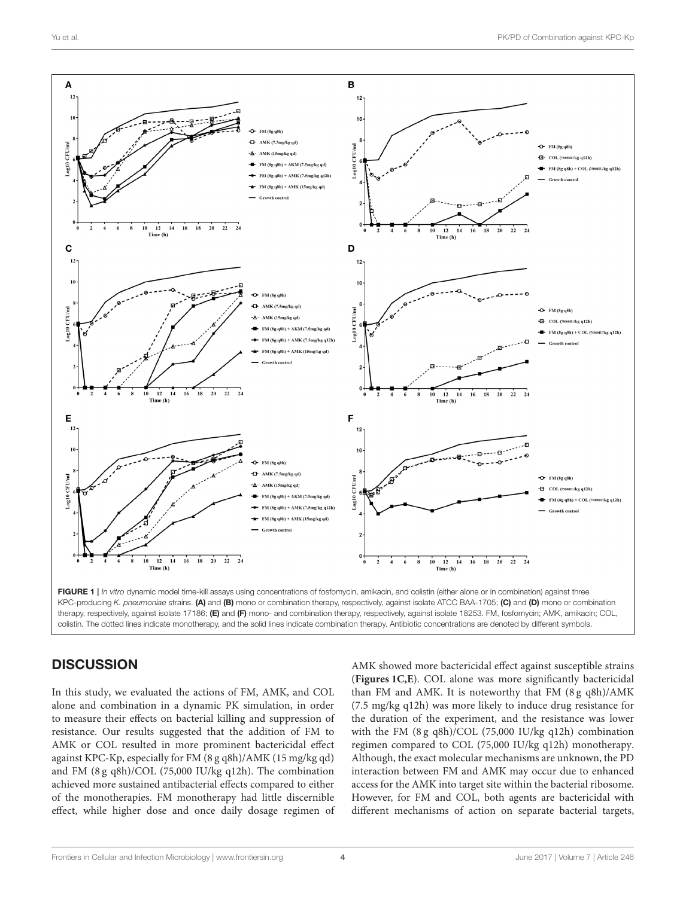

## <span id="page-3-0"></span>**DISCUSSION**

In this study, we evaluated the actions of FM, AMK, and COL alone and combination in a dynamic PK simulation, in order to measure their effects on bacterial killing and suppression of resistance. Our results suggested that the addition of FM to AMK or COL resulted in more prominent bactericidal effect against KPC-Kp, especially for FM (8 g q8h)/AMK (15 mg/kg qd) and FM (8 g q8h)/COL (75,000 IU/kg q12h). The combination achieved more sustained antibacterial effects compared to either of the monotherapies. FM monotherapy had little discernible effect, while higher dose and once daily dosage regimen of AMK showed more bactericidal effect against susceptible strains (**[Figures 1C,E](#page-3-0)**). COL alone was more significantly bactericidal than FM and AMK. It is noteworthy that FM (8 g q8h)/AMK (7.5 mg/kg q12h) was more likely to induce drug resistance for the duration of the experiment, and the resistance was lower with the FM (8 g q8h)/COL (75,000 IU/kg q12h) combination regimen compared to COL (75,000 IU/kg q12h) monotherapy. Although, the exact molecular mechanisms are unknown, the PD interaction between FM and AMK may occur due to enhanced access for the AMK into target site within the bacterial ribosome. However, for FM and COL, both agents are bactericidal with different mechanisms of action on separate bacterial targets,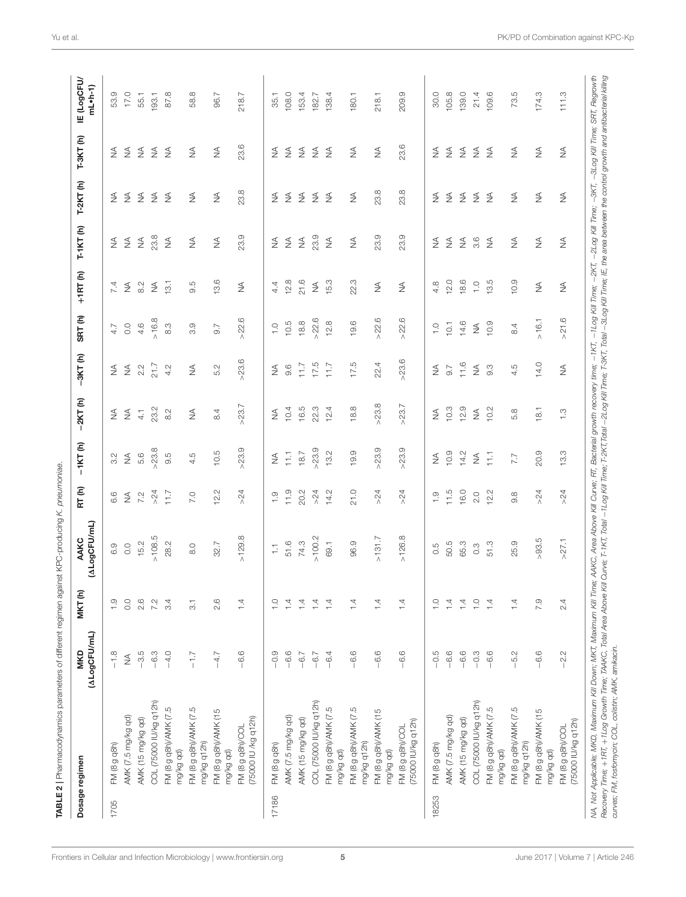<span id="page-4-0"></span>

|       | Dosage regimen                          | (ALogCFU/mL)<br><b>MKD</b> | MKT(h)                   | (ALogCFU/mL)<br>AAKC    | RT(h)            | $-1KT(h)$       | $-2KT(h)$     | $-3KT(h)$  | SRT(h)         | $+1RT(h)$     | $T-1KT(h)$ | $T-2KT(h)$ | $T-3KT(h)$ | <b>IE (LogCFU/</b><br>$mL$ -h-1) |
|-------|-----------------------------------------|----------------------------|--------------------------|-------------------------|------------------|-----------------|---------------|------------|----------------|---------------|------------|------------|------------|----------------------------------|
| 1705  | FM (8 g q8h)                            | $-1.8$                     | $\frac{0}{1}$            | 6.9                     | 6.6              | 3.2             | $\lessgtr$    | $\lessgtr$ | 4.7            | 7.4           | $\lessgtr$ | $\lessgtr$ | $\lessgtr$ | 53.9                             |
|       | AMK (7.5 mg/kg qd)                      | $\lessgtr$                 | $\rm ^{\circ}$           | 0.0                     | $\lessgtr$       | $\lessgtr$      | $\lessgtr$    | $\lessgtr$ | $\rm ^{\circ}$ | $\lessgtr$    | $\lessgtr$ | ₹          | $\lessgtr$ | 17.0                             |
|       | AMK (15 mg/kg qd)                       | $-3.5$                     | 2.6                      | 15.2                    | 7.2              | 5.6             | $4.1$         | 2.2        | 4.6            | 8.2           | $\lessgtr$ | $\lessgtr$ | $\lessgtr$ | 55.1                             |
|       | COL (75000 IU/kg q12h)                  | $-6.3$                     | 7.2                      | >108.5                  | >24              | 23.8            | 23.2          | 21.7       | > 16.8         | $\lessgtr$    | 23.8       | $\lessgtr$ | $\lessgtr$ | 133.1                            |
|       | FM (8 g q8h)/AMK (7.5<br>mg/kg qd)      | $-4.0$                     | 3.4                      | 28.2                    | 11.7             | 9.5             | $\frac{2}{8}$ | 4.2        | 8.3            | 13.1          | $\lessgtr$ | $\leq$     | $\lessgtr$ | 87.8                             |
|       | FM (8 g q8h)/AMK (7.5<br>mg/kg q12h)    | $-1.7$                     | $\overline{\mathcal{C}}$ | 8.0                     | 7.0              | 4.5             | $\lessgtr$    | $\lessgtr$ | 3.9            | 9.5           | $\lessgtr$ | $\lessgtr$ | $\lessgtr$ | 58.8                             |
|       | FM (8 g q8h)/AMK (15<br>mg/kg qd)       | $-4.7$                     | 2.6                      | 32.7                    | 12.2             | 10.5            | 8.4           | 5.2        | 9.7            | 13.6          | $\lessgtr$ | $\lessgtr$ | $\lessgtr$ | 96.7                             |
|       | (75000 IU /kg q12h)<br>FM (8 g q8h)/COL | $-6.6$                     | $\overline{1}$ d         | >129.8                  | >24              | 23.9<br>Λ       | >23.7         | >23.6      | >22.6          | $\lessgtr$    | 23.9       | 23.8       | 23.6       | 218.7                            |
| 17186 | FM (8 g q8h)                            | $-0.9$                     | $\frac{1}{1}$            | $\overline{\mathbb{C}}$ | $\frac{1}{1}$    | $\lessgtr$      | $\lessgtr$    | $\lessgtr$ | $\frac{0}{1}$  | 4.4           | $\lessgtr$ | ₹          | ₹          | 35.1                             |
|       | AMK (7.5 mg/kg qd)                      | $-6.6$                     | $\overline{1}$           | 51.6                    | 11.9             | $\overline{11}$ | 10.4          | 9.6        | 10.5           | 12.8          | $\lessgtr$ | $\lessgtr$ | $\lessgtr$ | 108.0                            |
|       | AMK (15 mg/kg qd)                       | $-6.7$                     | 1.4                      | 74.3                    | 20.2             | 18.7            | 16.5          | 7.17       | 18.8           | 21.6          | $\lessgtr$ | $\lessgtr$ | $\lessgtr$ | 153.4                            |
|       | COL (75000 IU/kg q12h)                  | $-6.7$                     | $\overline{4}$           | >100.2                  | $>24$            | >23.9           | 22.3          | 17.5       | >22.6          | $\lessgtr$    | 23.9       | $\lessgtr$ | $\lessgtr$ | 182.7                            |
|       | FM (8 g q8h)/AMK (7.5<br>mg/kg qd)      | $-6.4$                     | $\overline{1}$           | 69.1                    | 14.2             | 13.2            | 12.4          | 11.7       | 12.8           | 15.3          | ₹          | $\lessgtr$ | $\lessgtr$ | 138.4                            |
|       | FM (8 g q8h)/AMK (7.5<br>mg/kg q12h)    | $-6.6$                     | $\overline{4}$           | 96.9                    | 21.0             | 19.9            | 18.8          | 17.5       | 19.6           | 22.3          | $\lessgtr$ | $\lessgtr$ | $\lessgtr$ | 180.1                            |
|       | FM (8 g q8h)/AMK (15<br>mg/kg qd)       | $-6.6$                     | 1.4                      | >131.7                  | $>24$            | 23.9<br>Λ       | >23.8         | 22.4       | >22.6          | $\lessgtr$    | 23.9       | 23.8       | $\lessgtr$ | 218.1                            |
|       | (75000 IU/kg q12h)<br>FM (8 g q8h)/COL  | $-6.6$                     | $\overline{4}$           | >126.8                  | $>24$            | >23.9           | >23.7         | >23.6      | >22.6          | $\lessgtr$    | 23.9       | 23.8       | 23.6       | 209.9                            |
| 18253 | FM (8 g q8h)                            | $-0.5$                     | $\frac{0}{1}$            | 0.5                     | $\frac{0}{1}$    | ≸               | ≸             | ≸          | $\frac{0}{1}$  | 4.8           | ≸          | ≸          | ₹          | 30.0                             |
|       | AMK (7.5 mg/kg qd)                      | $-6.6$                     | $\overline{4}$           | 50.5                    | 11.5             | 10.9            | 10.3          | 9.7        | 10.1           | 12.0          | $\lessgtr$ | $\lessgtr$ | $\lessgtr$ | 105.8                            |
|       | AMK (15 mg/kg qd)                       | $-6.6$                     | $\overline{4}$           | 65.3                    | 16.0             | 14.2            | 12.9          | 11.6       | 14.6           | 18.6          | $\lessgtr$ | $\lessgtr$ | $\lessgtr$ | 139.0                            |
|       | COL (75000 IU/kg q12h)                  | $-0.3$                     | $\frac{1}{1}$            | $0.\overline{3}$        | 2.0              | $\lessgtr$      | $\lessgtr$    | $\lessgtr$ | $\lessgtr$     | $\frac{1}{1}$ | 3.6        | $\lessgtr$ | $\lessgtr$ | 21.4                             |
|       | FM (8 g q8h)/AMK (7.5<br>mg/kg qd)      | $-6.6$                     | 1.4                      | 51.3                    | 12.2             | $\overline{11}$ | 10.2          | 9.3        | 10.9           | 13.5          | $\lessgtr$ | $\lessgtr$ | $\lessgtr$ | 109.6                            |
|       | FM (8 g q8h)/AMK (7.5<br>mg/kg q12h)    | $-5.2$                     | $\overline{4}$           | 25.9                    | $9.\overline{8}$ | 7.7             | 5.8           | 4.5        | 8.4            | 10.9          | $\lessgtr$ | $\lessgtr$ | $\lessgtr$ | 73.5                             |
|       | FM (8 g q8h)/AMK (15<br>mg/kg qd)       | $-6.6$                     | 7.9                      | >93.5                   | $>24$            | 20.9            | 18.1          | 14.0       | $>16.1$        | $\lessgtr$    | $\lessgtr$ | $\lessgtr$ | $\lessgtr$ | 174.3                            |
|       | (75000 IU/kg q12h)<br>FM (8 g q8h)/COL  | $-2.2$                     | 2.4                      | >27.1                   | $>24$            | 13.3            | $\frac{3}{1}$ | $\lessgtr$ | >21.6          | $\lessgtr$    | $\lessgtr$ | $\lessgtr$ | $\lessgtr$ | 111.3                            |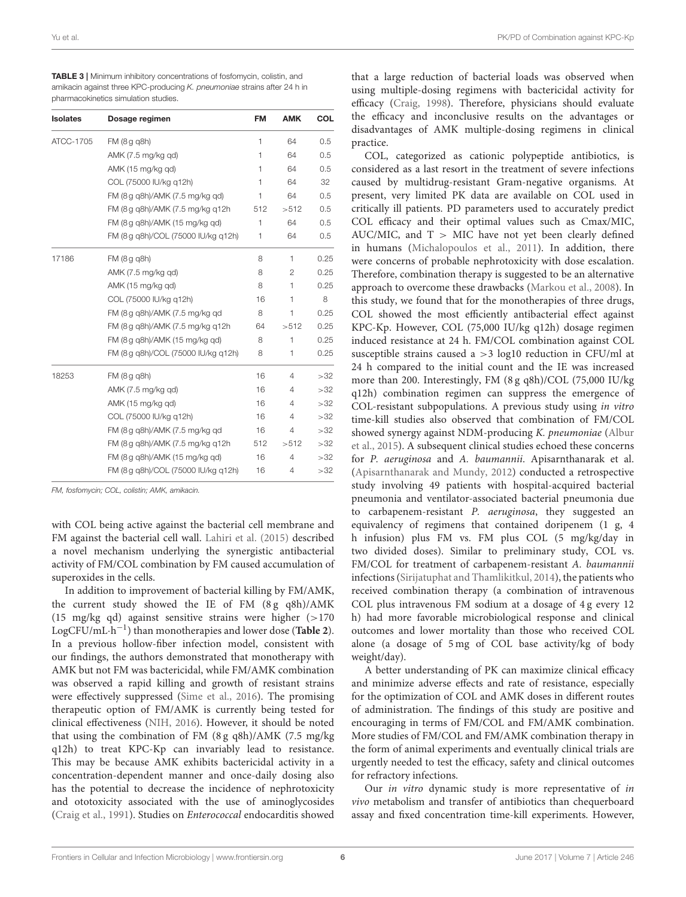<span id="page-5-0"></span>TABLE 3 | Minimum inhibitory concentrations of fosfomycin, colistin, and amikacin against three KPC-producing *K. pneumoniae* strains after 24 h in pharmacokinetics simulation studies.

| <b>Isolates</b> | Dosage regimen                      | <b>FM</b> | <b>AMK</b>     | COL  |
|-----------------|-------------------------------------|-----------|----------------|------|
| ATCC-1705       | FM (8 g g8h)                        | 1         | 64             | 0.5  |
|                 | AMK (7.5 mg/kg qd)                  | 1         | 64             | 0.5  |
|                 | AMK (15 mg/kg qd)                   | 1         | 64             | 0.5  |
|                 | COL (75000 IU/kg q12h)              | 1         | 64             | 32   |
|                 | FM (8 g q8h)/AMK (7.5 mg/kg qd)     | 1         | 64             | 0.5  |
|                 | FM (8 g g8h)/AMK (7.5 mg/kg g12h    | 512       | >512           | 0.5  |
|                 | FM (8 g g8h)/AMK (15 mg/kg gd)      | 1         | 64             | 0.5  |
|                 | FM (8 g q8h)/COL (75000 IU/kg q12h) | 1         | 64             | 0.5  |
| 17186           | FM (8 g g8h)                        | 8         | 1              | 0.25 |
|                 | AMK (7.5 mg/kg qd)                  | 8         | $\mathbf{2}$   | 0.25 |
|                 | AMK (15 mg/kg qd)                   | 8         | 1              | 0.25 |
|                 | COL (75000 IU/kg g12h)              | 16        | 1              | 8    |
|                 | FM (8 g g8h)/AMK (7.5 mg/kg gd      | 8         | 1              | 0.25 |
|                 | FM (8 g q8h)/AMK (7.5 mg/kg q12h    | 64        | >512           | 0.25 |
|                 | FM (8 g q8h)/AMK (15 mg/kg qd)      | 8         | 1              | 0.25 |
|                 | FM (8 g q8h)/COL (75000 IU/kg q12h) | 8         | 1              | 0.25 |
| 18253           | FM (8 g q8h)                        | 16        | 4              | >32  |
|                 | AMK (7.5 mg/kg qd)                  | 16        | 4              | >32  |
|                 | AMK (15 mg/kg qd)                   | 16        | 4              | >32  |
|                 | COL (75000 IU/kg q12h)              | 16        | 4              | >32  |
|                 | FM (8 g g8h)/AMK (7.5 mg/kg gd      | 16        | 4              | >32  |
|                 | FM (8 g q8h)/AMK (7.5 mg/kg q12h    | 512       | >512           | >32  |
|                 | FM (8 g q8h)/AMK (15 mg/kg qd)      | 16        | $\overline{4}$ | >32  |
|                 | FM (8 g q8h)/COL (75000 IU/kg q12h) | 16        | 4              | >32  |

*FM, fosfomycin; COL, colistin; AMK, amikacin.*

with COL being active against the bacterial cell membrane and FM against the bacterial cell wall. [Lahiri et al. \(2015\)](#page-6-13) described a novel mechanism underlying the synergistic antibacterial activity of FM/COL combination by FM caused accumulation of superoxides in the cells.

In addition to improvement of bacterial killing by FM/AMK, the current study showed the IE of FM  $(8g \ q8h)/AMK$ (15 mg/kg qd) against sensitive strains were higher (>170 LogCFU/mL·h −1 ) than monotherapies and lower dose (**[Table 2](#page-4-0)**). In a previous hollow-fiber infection model, consistent with our findings, the authors demonstrated that monotherapy with AMK but not FM was bactericidal, while FM/AMK combination was observed a rapid killing and growth of resistant strains were effectively suppressed [\(Sime et al., 2016\)](#page-7-3). The promising therapeutic option of FM/AMK is currently being tested for clinical effectiveness [\(NIH, 2016\)](#page-7-2). However, it should be noted that using the combination of FM (8 g q8h)/AMK (7.5 mg/kg q12h) to treat KPC-Kp can invariably lead to resistance. This may be because AMK exhibits bactericidal activity in a concentration-dependent manner and once-daily dosing also has the potential to decrease the incidence of nephrotoxicity and ototoxicity associated with the use of aminoglycosides [\(Craig et al., 1991\)](#page-6-14). Studies on Enterococcal endocarditis showed that a large reduction of bacterial loads was observed when using multiple-dosing regimens with bactericidal activity for efficacy [\(Craig, 1998\)](#page-6-15). Therefore, physicians should evaluate the efficacy and inconclusive results on the advantages or disadvantages of AMK multiple-dosing regimens in clinical practice.

COL, categorized as cationic polypeptide antibiotics, is considered as a last resort in the treatment of severe infections caused by multidrug-resistant Gram-negative organisms. At present, very limited PK data are available on COL used in critically ill patients. PD parameters used to accurately predict COL efficacy and their optimal values such as Cmax/MIC, AUC/MIC, and  $T >$  MIC have not yet been clearly defined in humans [\(Michalopoulos et al., 2011\)](#page-6-16). In addition, there were concerns of probable nephrotoxicity with dose escalation. Therefore, combination therapy is suggested to be an alternative approach to overcome these drawbacks [\(Markou et al., 2008\)](#page-6-17). In this study, we found that for the monotherapies of three drugs, COL showed the most efficiently antibacterial effect against KPC-Kp. However, COL (75,000 IU/kg q12h) dosage regimen induced resistance at 24 h. FM/COL combination against COL susceptible strains caused a >3 log10 reduction in CFU/ml at 24 h compared to the initial count and the IE was increased more than 200. Interestingly, FM (8 g q8h)/COL (75,000 IU/kg q12h) combination regimen can suppress the emergence of COL-resistant subpopulations. A previous study using in vitro time-kill studies also observed that combination of FM/COL showed synergy against NDM-producing K. pneumoniae (Albur et al., [2015\)](#page-6-4). A subsequent clinical studies echoed these concerns for P. aeruginosa and A. baumannii. Apisarnthanarak et al. [\(Apisarnthanarak and Mundy, 2012\)](#page-6-18) conducted a retrospective study involving 49 patients with hospital-acquired bacterial pneumonia and ventilator-associated bacterial pneumonia due to carbapenem-resistant P. aeruginosa, they suggested an equivalency of regimens that contained doripenem (1 g, 4 h infusion) plus FM vs. FM plus COL (5 mg/kg/day in two divided doses). Similar to preliminary study, COL vs. FM/COL for treatment of carbapenem-resistant A. baumannii infections [\(Sirijatuphat and Thamlikitkul, 2014\)](#page-7-6), the patients who received combination therapy (a combination of intravenous COL plus intravenous FM sodium at a dosage of 4 g every 12 h) had more favorable microbiological response and clinical outcomes and lower mortality than those who received COL alone (a dosage of 5 mg of COL base activity/kg of body weight/day).

A better understanding of PK can maximize clinical efficacy and minimize adverse effects and rate of resistance, especially for the optimization of COL and AMK doses in different routes of administration. The findings of this study are positive and encouraging in terms of FM/COL and FM/AMK combination. More studies of FM/COL and FM/AMK combination therapy in the form of animal experiments and eventually clinical trials are urgently needed to test the efficacy, safety and clinical outcomes for refractory infections.

Our in vitro dynamic study is more representative of in vivo metabolism and transfer of antibiotics than chequerboard assay and fixed concentration time-kill experiments. However,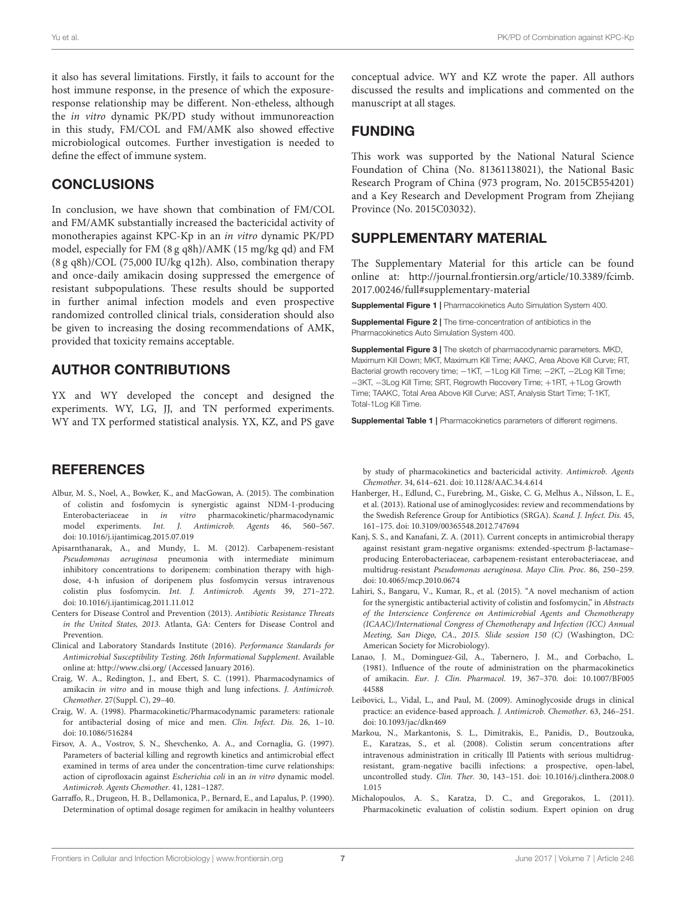it also has several limitations. Firstly, it fails to account for the host immune response, in the presence of which the exposureresponse relationship may be different. Non-etheless, although the in vitro dynamic PK/PD study without immunoreaction in this study, FM/COL and FM/AMK also showed effective microbiological outcomes. Further investigation is needed to define the effect of immune system.

# **CONCLUSIONS**

In conclusion, we have shown that combination of FM/COL and FM/AMK substantially increased the bactericidal activity of monotherapies against KPC-Kp in an in vitro dynamic PK/PD model, especially for FM (8 g q8h)/AMK (15 mg/kg qd) and FM (8 g q8h)/COL (75,000 IU/kg q12h). Also, combination therapy and once-daily amikacin dosing suppressed the emergence of resistant subpopulations. These results should be supported in further animal infection models and even prospective randomized controlled clinical trials, consideration should also be given to increasing the dosing recommendations of AMK, provided that toxicity remains acceptable.

# AUTHOR CONTRIBUTIONS

YX and WY developed the concept and designed the experiments. WY, LG, JJ, and TN performed experiments. WY and TX performed statistical analysis. YX, KZ, and PS gave

# **REFERENCES**

- <span id="page-6-4"></span>Albur, M. S., Noel, A., Bowker, K., and MacGowan, A. (2015). The combination of colistin and fosfomycin is synergistic against NDM-1-producing Enterobacteriaceae in in vitro pharmacokinetic/pharmacodynamic model experiments. Int. J. Antimicrob. Agents 46, 560–567. doi: [10.1016/j.ijantimicag.2015.07.019](https://doi.org/10.1016/j.ijantimicag.2015.07.019)
- <span id="page-6-18"></span>Apisarnthanarak, A., and Mundy, L. M. (2012). Carbapenem-resistant Pseudomonas aeruginosa pneumonia with intermediate minimum inhibitory concentrations to doripenem: combination therapy with highdose, 4-h infusion of doripenem plus fosfomycin versus intravenous colistin plus fosfomycin. Int. J. Antimicrob. Agents 39, 271–272. doi: [10.1016/j.ijantimicag.2011.11.012](https://doi.org/10.1016/j.ijantimicag.2011.11.012)
- <span id="page-6-0"></span>Centers for Disease Control and Prevention (2013). Antibiotic Resistance Threats in the United States, 2013. Atlanta, GA: Centers for Disease Control and Prevention.
- <span id="page-6-5"></span>Clinical and Laboratory Standards Institute (2016). Performance Standards for Antimicrobial Susceptibility Testing. 26th Informational Supplement. Available online at:<http://www.clsi.org/> (Accessed January 2016).
- <span id="page-6-14"></span>Craig, W. A., Redington, J., and Ebert, S. C. (1991). Pharmacodynamics of amikacin in vitro and in mouse thigh and lung infections. J. Antimicrob. Chemother. 27(Suppl. C), 29–40.
- <span id="page-6-15"></span>Craig, W. A. (1998). Pharmacokinetic/Pharmacodynamic parameters: rationale for antibacterial dosing of mice and men. Clin. Infect. Dis. 26, 1–10. doi: [10.1086/516284](https://doi.org/10.1086/516284)
- <span id="page-6-12"></span>Firsov, A. A., Vostrov, S. N., Shevchenko, A. A., and Cornaglia, G. (1997). Parameters of bacterial killing and regrowth kinetics and antimicrobial effect examined in terms of area under the concentration-time curve relationships: action of ciprofloxacin against Escherichia coli in an in vitro dynamic model. Antimicrob. Agents Chemother. 41, 1281–1287.
- <span id="page-6-7"></span>Garraffo, R., Drugeon, H. B., Dellamonica, P., Bernard, E., and Lapalus, P. (1990). Determination of optimal dosage regimen for amikacin in healthy volunteers

conceptual advice. WY and KZ wrote the paper. All authors discussed the results and implications and commented on the manuscript at all stages.

# FUNDING

This work was supported by the National Natural Science Foundation of China (No. 81361138021), the National Basic Research Program of China (973 program, No. 2015CB554201) and a Key Research and Development Program from Zhejiang Province (No. 2015C03032).

# SUPPLEMENTARY MATERIAL

The Supplementary Material for this article can be found [online at: http://journal.frontiersin.org/article/10.3389/fcimb.](http://journal.frontiersin.org/article/10.3389/fcimb.2017.00246/full#supplementary-material) 2017.00246/full#supplementary-material

<span id="page-6-10"></span>Supplemental Figure 1 | Pharmacokinetics Auto Simulation System 400.

<span id="page-6-9"></span>Supplemental Figure 2 | The time-concentration of antibiotics in the Pharmacokinetics Auto Simulation System 400.

<span id="page-6-11"></span>Supplemental Figure 3 | The sketch of pharmacodynamic parameters. MKD, Maximum Kill Down; MKT, Maximum Kill Time; AAKC, Area Above Kill Curve; RT, Bacterial growth recovery time; -1KT, -1Log Kill Time; -2KT, -2Log Kill Time; −3KT, −3Log Kill Time; SRT, Regrowth Recovery Time; +1RT, +1Log Growth Time; TAAKC, Total Area Above Kill Curve; AST, Analysis Start Time; T-1KT, Total-1Log Kill Time.

<span id="page-6-8"></span>Supplemental Table 1 | Pharmacokinetics parameters of different regimens.

by study of pharmacokinetics and bactericidal activity. Antimicrob. Agents Chemother. 34, 614–621. doi: [10.1128/AAC.34.4.614](https://doi.org/10.1128/AAC.34.4.614)

- <span id="page-6-3"></span>Hanberger, H., Edlund, C., Furebring, M., Giske, C. G, Melhus A., Nilsson, L. E., et al. (2013). Rational use of aminoglycosides: review and recommendations by the Swedish Reference Group for Antibiotics (SRGA). Scand. J. Infect. Dis. 45, 161–175. doi: [10.3109/00365548.2012.747694](https://doi.org/10.3109/00365548.2012.747694)
- <span id="page-6-1"></span>Kanj, S. S., and Kanafani, Z. A. (2011). Current concepts in antimicrobial therapy against resistant gram-negative organisms: extended-spectrum β-lactamase– producing Enterobacteriaceae, carbapenem-resistant enterobacteriaceae, and multidrug-resistant Pseudomonas aeruginosa. Mayo Clin. Proc. 86, 250–259. doi: [10.4065/mcp.2010.0674](https://doi.org/10.4065/mcp.2010.0674)
- <span id="page-6-13"></span>Lahiri, S., Bangaru, V., Kumar, R., et al. (2015). "A novel mechanism of action for the synergistic antibacterial activity of colistin and fosfomycin," in Abstracts of the Interscience Conference on Antimicrobial Agents and Chemotherapy (ICAAC)/International Congress of Chemotherapy and Infection (ICC) Annual Meeting, San Diego, CA., 2015. Slide session 150 (C) (Washington, DC: American Society for Microbiology).
- <span id="page-6-6"></span>Lanao, J. M., Dominguez-Gil, A., Tabernero, J. M., and Corbacho, L. (1981). Influence of the route of administration on the pharmacokinetics of amikacin. Eur. J. Clin. Pharmacol. [19, 367–370. doi: 10.1007/BF005](https://doi.org/10.1007/BF00544588) 44588
- <span id="page-6-2"></span>Leibovici, L., Vidal, L., and Paul, M. (2009). Aminoglycoside drugs in clinical practice: an evidence-based approach. J. Antimicrob. Chemother. 63, 246–251. doi: [10.1093/jac/dkn469](https://doi.org/10.1093/jac/dkn469)
- <span id="page-6-17"></span>Markou, N., Markantonis, S. L., Dimitrakis, E., Panidis, D., Boutzouka, E., Karatzas, S., et al. (2008). Colistin serum concentrations after intravenous administration in critically Ill Patients with serious multidrugresistant, gram-negative bacilli infections: a prospective, open-label, uncontrolled study. Clin. Ther. [30, 143–151. doi: 10.1016/j.clinthera.2008.0](https://doi.org/10.1016/j.clinthera.2008.01.015) 1.015
- <span id="page-6-16"></span>Michalopoulos, A. S., Karatza, D. C., and Gregorakos, L. (2011). Pharmacokinetic evaluation of colistin sodium. Expert opinion on drug